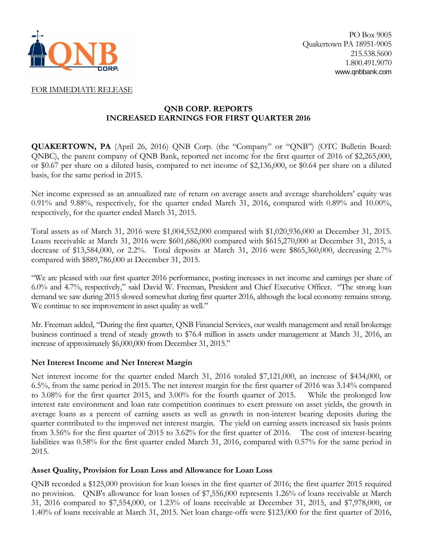

## FOR IMMEDIATE RELEASE

# **QNB CORP. REPORTS INCREASED EARNINGS FOR FIRST QUARTER 2016**

**QUAKERTOWN, PA** (April 26, 2016) QNB Corp. (the "Company" or "QNB") (OTC Bulletin Board: QNBC), the parent company of QNB Bank, reported net income for the first quarter of 2016 of \$2,265,000, or \$0.67 per share on a diluted basis, compared to net income of \$2,136,000, or \$0.64 per share on a diluted basis, for the same period in 2015.

Net income expressed as an annualized rate of return on average assets and average shareholders' equity was 0.91% and 9.88%, respectively, for the quarter ended March 31, 2016, compared with 0.89% and 10.00%, respectively, for the quarter ended March 31, 2015.

Total assets as of March 31, 2016 were \$1,004,552,000 compared with \$1,020,936,000 at December 31, 2015. Loans receivable at March 31, 2016 were \$601,686,000 compared with \$615,270,000 at December 31, 2015, a decrease of \$13,584,000, or 2.2%. Total deposits at March 31, 2016 were \$865,360,000, decreasing 2.7% compared with \$889,786,000 at December 31, 2015.

"We are pleased with our first quarter 2016 performance, posting increases in net income and earnings per share of 6.0% and 4.7%, respectively," said David W. Freeman, President and Chief Executive Officer. "The strong loan demand we saw during 2015 slowed somewhat during first quarter 2016, although the local economy remains strong. We continue to see improvement in asset quality as well."

Mr. Freeman added, "During the first quarter, QNB Financial Services, our wealth management and retail brokerage business continued a trend of steady growth to \$76.4 million in assets under management at March 31, 2016, an increase of approximately \$6,000,000 from December 31, 2015."

## **Net Interest Income and Net Interest Margin**

Net interest income for the quarter ended March 31, 2016 totaled \$7,121,000, an increase of \$434,000, or 6.5%, from the same period in 2015. The net interest margin for the first quarter of 2016 was 3.14% compared to 3.08% for the first quarter 2015, and 3.00% for the fourth quarter of 2015. While the prolonged low interest rate environment and loan rate competition continues to exert pressure on asset yields, the growth in average loans as a percent of earning assets as well as growth in non-interest bearing deposits during the quarter contributed to the improved net interest margin. The yield on earning assets increased six basis points from 3.56% for the first quarter of 2015 to 3.62% for the first quarter of 2016. The cost of interest-bearing liabilities was 0.58% for the first quarter ended March 31, 2016, compared with 0.57% for the same period in 2015.

# **Asset Quality, Provision for Loan Loss and Allowance for Loan Loss**

QNB recorded a \$125,000 provision for loan losses in the first quarter of 2016; the first quarter 2015 required no provision. QNB's allowance for loan losses of \$7,556,000 represents 1.26% of loans receivable at March 31, 2016 compared to \$7,554,000, or 1.23% of loans receivable at December 31, 2015, and \$7,978,000, or 1.40% of loans receivable at March 31, 2015. Net loan charge-offs were \$123,000 for the first quarter of 2016,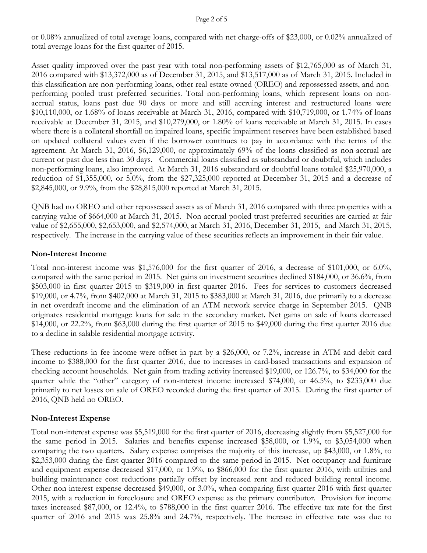#### Page 2 of 5

or 0.08% annualized of total average loans, compared with net charge-offs of \$23,000, or 0.02% annualized of total average loans for the first quarter of 2015.

Asset quality improved over the past year with total non-performing assets of \$12,765,000 as of March 31, 2016 compared with \$13,372,000 as of December 31, 2015, and \$13,517,000 as of March 31, 2015. Included in this classification are non-performing loans, other real estate owned (OREO) and repossessed assets, and nonperforming pooled trust preferred securities. Total non-performing loans, which represent loans on nonaccrual status, loans past due 90 days or more and still accruing interest and restructured loans were \$10,110,000, or 1.68% of loans receivable at March 31, 2016, compared with \$10,719,000, or 1.74% of loans receivable at December 31, 2015, and \$10,279,000, or 1.80% of loans receivable at March 31, 2015. In cases where there is a collateral shortfall on impaired loans, specific impairment reserves have been established based on updated collateral values even if the borrower continues to pay in accordance with the terms of the agreement. At March 31, 2016, \$6,129,000, or approximately 69% of the loans classified as non-accrual are current or past due less than 30 days. Commercial loans classified as substandard or doubtful, which includes non-performing loans, also improved. At March 31, 2016 substandard or doubtful loans totaled \$25,970,000, a reduction of \$1,355,000, or 5.0%, from the \$27,325,000 reported at December 31, 2015 and a decrease of \$2,845,000, or 9.9%, from the \$28,815,000 reported at March 31, 2015.

QNB had no OREO and other repossessed assets as of March 31, 2016 compared with three properties with a carrying value of \$664,000 at March 31, 2015. Non-accrual pooled trust preferred securities are carried at fair value of \$2,655,000, \$2,653,000, and \$2,574,000, at March 31, 2016, December 31, 2015, and March 31, 2015, respectively. The increase in the carrying value of these securities reflects an improvement in their fair value.

# **Non-Interest Income**

Total non-interest income was \$1,576,000 for the first quarter of 2016, a decrease of \$101,000, or 6.0%, compared with the same period in 2015. Net gains on investment securities declined \$184,000, or 36.6%, from \$503,000 in first quarter 2015 to \$319,000 in first quarter 2016. Fees for services to customers decreased \$19,000, or 4.7%, from \$402,000 at March 31, 2015 to \$383,000 at March 31, 2016, due primarily to a decrease in net overdraft income and the elimination of an ATM network service charge in September 2015. QNB originates residential mortgage loans for sale in the secondary market. Net gains on sale of loans decreased \$14,000, or 22.2%, from \$63,000 during the first quarter of 2015 to \$49,000 during the first quarter 2016 due to a decline in salable residential mortgage activity.

These reductions in fee income were offset in part by a \$26,000, or 7.2%, increase in ATM and debit card income to \$388,000 for the first quarter 2016, due to increases in card-based transactions and expansion of checking account households. Net gain from trading activity increased \$19,000, or 126.7%, to \$34,000 for the quarter while the "other" category of non-interest income increased \$74,000, or 46.5%, to \$233,000 due primarily to net losses on sale of OREO recorded during the first quarter of 2015. During the first quarter of 2016, QNB held no OREO.

# **Non-Interest Expense**

Total non-interest expense was \$5,519,000 for the first quarter of 2016, decreasing slightly from \$5,527,000 for the same period in 2015. Salaries and benefits expense increased \$58,000, or 1.9%, to \$3,054,000 when comparing the two quarters. Salary expense comprises the majority of this increase, up \$43,000, or 1.8%, to \$2,353,000 during the first quarter 2016 compared to the same period in 2015. Net occupancy and furniture and equipment expense decreased \$17,000, or 1.9%, to \$866,000 for the first quarter 2016, with utilities and building maintenance cost reductions partially offset by increased rent and reduced building rental income. Other non-interest expense decreased \$49,000, or 3.0%, when comparing first quarter 2016 with first quarter 2015, with a reduction in foreclosure and OREO expense as the primary contributor. Provision for income taxes increased \$87,000, or 12.4%, to \$788,000 in the first quarter 2016. The effective tax rate for the first quarter of 2016 and 2015 was 25.8% and 24.7%, respectively. The increase in effective rate was due to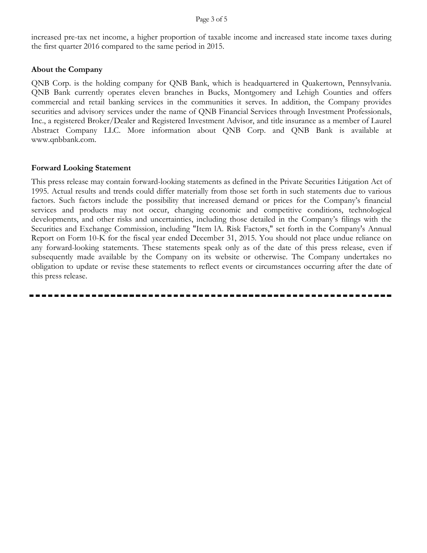increased pre-tax net income, a higher proportion of taxable income and increased state income taxes during the first quarter 2016 compared to the same period in 2015.

### **About the Company**

QNB Corp. is the holding company for QNB Bank, which is headquartered in Quakertown, Pennsylvania. QNB Bank currently operates eleven branches in Bucks, Montgomery and Lehigh Counties and offers commercial and retail banking services in the communities it serves. In addition, the Company provides securities and advisory services under the name of QNB Financial Services through Investment Professionals, Inc., a registered Broker/Dealer and Registered Investment Advisor, and title insurance as a member of Laurel Abstract Company LLC. More information about QNB Corp. and QNB Bank is available at www.qnbbank.com.

#### **Forward Looking Statement**

This press release may contain forward-looking statements as defined in the Private Securities Litigation Act of 1995. Actual results and trends could differ materially from those set forth in such statements due to various factors. Such factors include the possibility that increased demand or prices for the Company's financial services and products may not occur, changing economic and competitive conditions, technological developments, and other risks and uncertainties, including those detailed in the Company's filings with the Securities and Exchange Commission, including "Item lA. Risk Factors," set forth in the Company's Annual Report on Form 10-K for the fiscal year ended December 31, 2015. You should not place undue reliance on any forward-looking statements. These statements speak only as of the date of this press release, even if subsequently made available by the Company on its website or otherwise. The Company undertakes no obligation to update or revise these statements to reflect events or circumstances occurring after the date of this press release.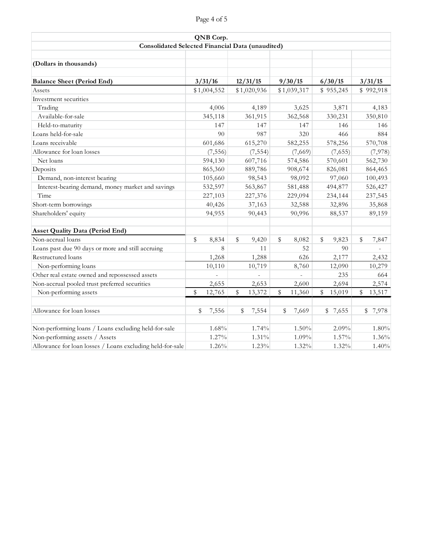| QNB Corp.<br><b>Consolidated Selected Financial Data (unaudited)</b> |             |         |             |          |         |             |         |           |         |           |  |
|----------------------------------------------------------------------|-------------|---------|-------------|----------|---------|-------------|---------|-----------|---------|-----------|--|
|                                                                      |             |         |             |          |         |             |         |           |         |           |  |
| (Dollars in thousands)                                               |             |         |             |          |         |             |         |           |         |           |  |
| <b>Balance Sheet (Period End)</b>                                    |             | 3/31/16 |             | 12/31/15 |         | 9/30/15     |         | 6/30/15   |         | 3/31/15   |  |
| Assets                                                               | \$1,004,552 |         | \$1,020,936 |          |         | \$1,039,317 |         | \$955,245 |         | \$992,918 |  |
| Investment securities                                                |             |         |             |          |         |             |         |           |         |           |  |
| Trading                                                              |             | 4,006   |             | 4,189    |         | 3,625       |         | 3,871     |         | 4,183     |  |
| Available-for-sale                                                   | 345,118     |         | 361,915     |          | 362,568 |             | 330,231 |           | 350,810 |           |  |
| Held-to-maturity                                                     | 147         |         | 147         |          | 147     |             | 146     |           | 146     |           |  |
| Loans held-for-sale                                                  | 90          |         | 987         |          | 320     |             | 466     |           | 884     |           |  |
| Loans receivable                                                     | 601,686     |         | 615,270     |          | 582,255 |             | 578,256 |           | 570,708 |           |  |
| Allowance for loan losses                                            | (7, 556)    |         | (7, 554)    |          | (7,669) |             | (7,655) |           | (7,978) |           |  |
| Net loans                                                            | 594,130     |         |             | 607,716  |         | 574,586     |         | 570,601   |         | 562,730   |  |
| Deposits                                                             | 865,360     |         |             | 889,786  |         | 908,674     |         | 826,081   | 864,465 |           |  |
| Demand, non-interest bearing                                         | 105,660     |         |             | 98,543   | 98,092  |             | 97,060  |           |         | 100,493   |  |
| Interest-bearing demand, money market and savings                    | 532,597     |         |             | 563,867  |         | 581,488     |         | 494,877   |         | 526,427   |  |
| Time                                                                 | 227,103     |         |             | 227,376  |         | 229,094     |         | 234,144   | 237,545 |           |  |
| Short-term borrowings                                                | 40,426      |         |             | 37,163   |         | 32,588      |         | 32,896    |         | 35,868    |  |
| Shareholders' equity                                                 | 94,955      |         | 90,443      |          | 90,996  |             | 88,537  |           | 89,159  |           |  |
| <b>Asset Quality Data (Period End)</b>                               |             |         |             |          |         |             |         |           |         |           |  |
| Non-accrual loans                                                    | \$          | 8,834   | \$          | 9,420    | \$      | 8,082       | \$      | 9,823     | \$      | 7,847     |  |
| Loans past due 90 days or more and still accruing                    |             | 8       |             | 11       |         | 52          |         | 90        |         |           |  |
| Restructured loans                                                   |             | 1,268   |             | 1,288    |         | 626         |         | 2,177     |         | 2,432     |  |
| Non-performing loans                                                 |             | 10,110  |             | 10,719   |         | 8,760       |         | 12,090    |         | 10,279    |  |
| Other real estate owned and repossessed assets                       |             |         |             |          |         |             |         | 235       |         | 664       |  |
| Non-accrual pooled trust preferred securities                        |             | 2,655   |             | 2,653    |         | 2,600       |         | 2,694     |         | 2,574     |  |
| Non-performing assets                                                | \$          | 12,765  | \$          | 13,372   | \$      | 11,360      | \$      | 15,019    | \$      | 13,517    |  |
| Allowance for loan losses                                            | \$          | 7,556   | \$          | 7,554    | \$      | 7,669       |         | \$7,655   |         | \$7,978   |  |
| Non-performing loans / Loans excluding held-for-sale                 |             | 1.68%   |             | 1.74%    |         | 1.50%       |         | 2.09%     |         | 1.80%     |  |
| Non-performing assets / Assets                                       |             | 1.27%   |             | 1.31%    |         | 1.09%       |         | 1.57%     |         | 1.36%     |  |
| Allowance for loan losses / Loans excluding held-for-sale            | 1.26%       |         | 1.23%       |          |         | 1.32%       |         | 1.32%     | 1.40%   |           |  |